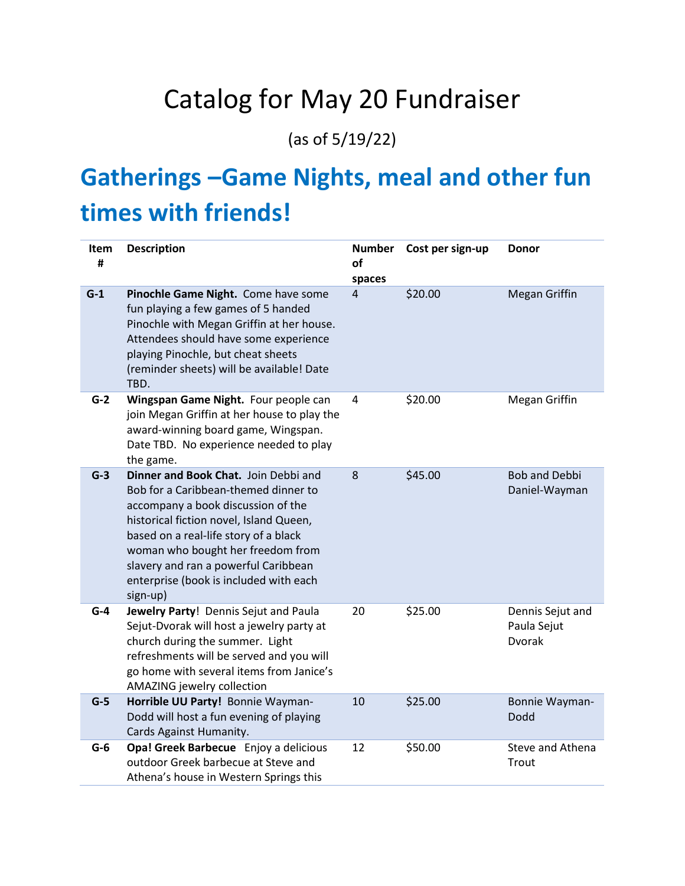# Catalog for May 20 Fundraiser

(as of 5/19/22)

# **Gatherings –Game Nights, meal and other fun times with friends!**

| Item<br># | <b>Description</b>                                                                                                                                                                                                                                                                                                                        | <b>Number</b><br>of<br>spaces | Cost per sign-up | <b>Donor</b>                                     |
|-----------|-------------------------------------------------------------------------------------------------------------------------------------------------------------------------------------------------------------------------------------------------------------------------------------------------------------------------------------------|-------------------------------|------------------|--------------------------------------------------|
| $G-1$     | Pinochle Game Night. Come have some<br>fun playing a few games of 5 handed<br>Pinochle with Megan Griffin at her house.<br>Attendees should have some experience<br>playing Pinochle, but cheat sheets<br>(reminder sheets) will be available! Date<br>TBD.                                                                               | 4                             | \$20.00          | Megan Griffin                                    |
| $G-2$     | Wingspan Game Night. Four people can<br>join Megan Griffin at her house to play the<br>award-winning board game, Wingspan.<br>Date TBD. No experience needed to play<br>the game.                                                                                                                                                         | $\overline{4}$                | \$20.00          | Megan Griffin                                    |
| $G-3$     | Dinner and Book Chat. Join Debbi and<br>Bob for a Caribbean-themed dinner to<br>accompany a book discussion of the<br>historical fiction novel, Island Queen,<br>based on a real-life story of a black<br>woman who bought her freedom from<br>slavery and ran a powerful Caribbean<br>enterprise (book is included with each<br>sign-up) | 8                             | \$45.00          | <b>Bob and Debbi</b><br>Daniel-Wayman            |
| $G-4$     | Jewelry Party! Dennis Sejut and Paula<br>Sejut-Dvorak will host a jewelry party at<br>church during the summer. Light<br>refreshments will be served and you will<br>go home with several items from Janice's<br>AMAZING jewelry collection                                                                                               | 20                            | \$25.00          | Dennis Sejut and<br>Paula Sejut<br><b>Dvorak</b> |
| $G-5$     | Horrible UU Party! Bonnie Wayman-<br>Dodd will host a fun evening of playing<br>Cards Against Humanity.                                                                                                                                                                                                                                   | 10                            | \$25.00          | Bonnie Wayman-<br>Dodd                           |
| $G-6$     | Opa! Greek Barbecue Enjoy a delicious<br>outdoor Greek barbecue at Steve and<br>Athena's house in Western Springs this                                                                                                                                                                                                                    | 12                            | \$50.00          | Steve and Athena<br>Trout                        |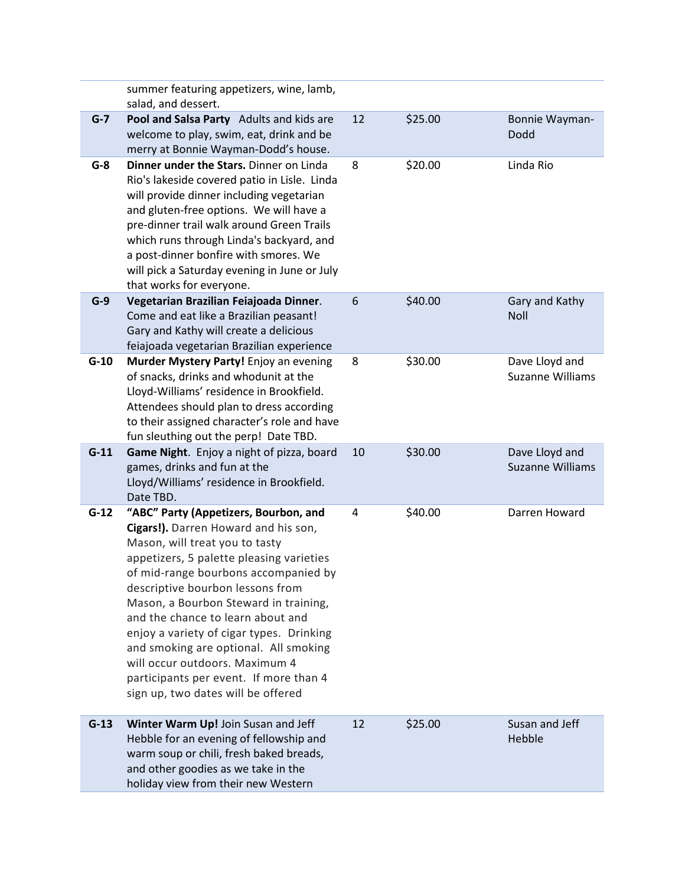|        | summer featuring appetizers, wine, lamb,<br>salad, and dessert.                                                                                                                                                                                                                                                                                                                                                                                                                                                              |    |         |                                           |
|--------|------------------------------------------------------------------------------------------------------------------------------------------------------------------------------------------------------------------------------------------------------------------------------------------------------------------------------------------------------------------------------------------------------------------------------------------------------------------------------------------------------------------------------|----|---------|-------------------------------------------|
| $G-7$  | Pool and Salsa Party Adults and kids are<br>welcome to play, swim, eat, drink and be<br>merry at Bonnie Wayman-Dodd's house.                                                                                                                                                                                                                                                                                                                                                                                                 | 12 | \$25.00 | Bonnie Wayman-<br>Dodd                    |
| $G-8$  | Dinner under the Stars. Dinner on Linda<br>Rio's lakeside covered patio in Lisle. Linda<br>will provide dinner including vegetarian<br>and gluten-free options. We will have a<br>pre-dinner trail walk around Green Trails<br>which runs through Linda's backyard, and<br>a post-dinner bonfire with smores. We<br>will pick a Saturday evening in June or July<br>that works for everyone.                                                                                                                                 | 8  | \$20.00 | Linda Rio                                 |
| $G-9$  | Vegetarian Brazilian Feiajoada Dinner.<br>Come and eat like a Brazilian peasant!<br>Gary and Kathy will create a delicious<br>feiajoada vegetarian Brazilian experience                                                                                                                                                                                                                                                                                                                                                      | 6  | \$40.00 | Gary and Kathy<br><b>Noll</b>             |
| $G-10$ | Murder Mystery Party! Enjoy an evening<br>of snacks, drinks and whodunit at the<br>Lloyd-Williams' residence in Brookfield.<br>Attendees should plan to dress according<br>to their assigned character's role and have<br>fun sleuthing out the perp! Date TBD.                                                                                                                                                                                                                                                              | 8  | \$30.00 | Dave Lloyd and<br>Suzanne Williams        |
| $G-11$ | Game Night. Enjoy a night of pizza, board<br>games, drinks and fun at the<br>Lloyd/Williams' residence in Brookfield.<br>Date TBD.                                                                                                                                                                                                                                                                                                                                                                                           | 10 | \$30.00 | Dave Lloyd and<br><b>Suzanne Williams</b> |
| $G-12$ | "ABC" Party (Appetizers, Bourbon, and<br>Cigars!). Darren Howard and his son,<br>Mason, will treat you to tasty<br>appetizers, 5 palette pleasing varieties<br>of mid-range bourbons accompanied by<br>descriptive bourbon lessons from<br>Mason, a Bourbon Steward in training,<br>and the chance to learn about and<br>enjoy a variety of cigar types. Drinking<br>and smoking are optional. All smoking<br>will occur outdoors. Maximum 4<br>participants per event. If more than 4<br>sign up, two dates will be offered | 4  | \$40.00 | Darren Howard                             |
| $G-13$ | Winter Warm Up! Join Susan and Jeff<br>Hebble for an evening of fellowship and<br>warm soup or chili, fresh baked breads,<br>and other goodies as we take in the<br>holiday view from their new Western                                                                                                                                                                                                                                                                                                                      | 12 | \$25.00 | Susan and Jeff<br>Hebble                  |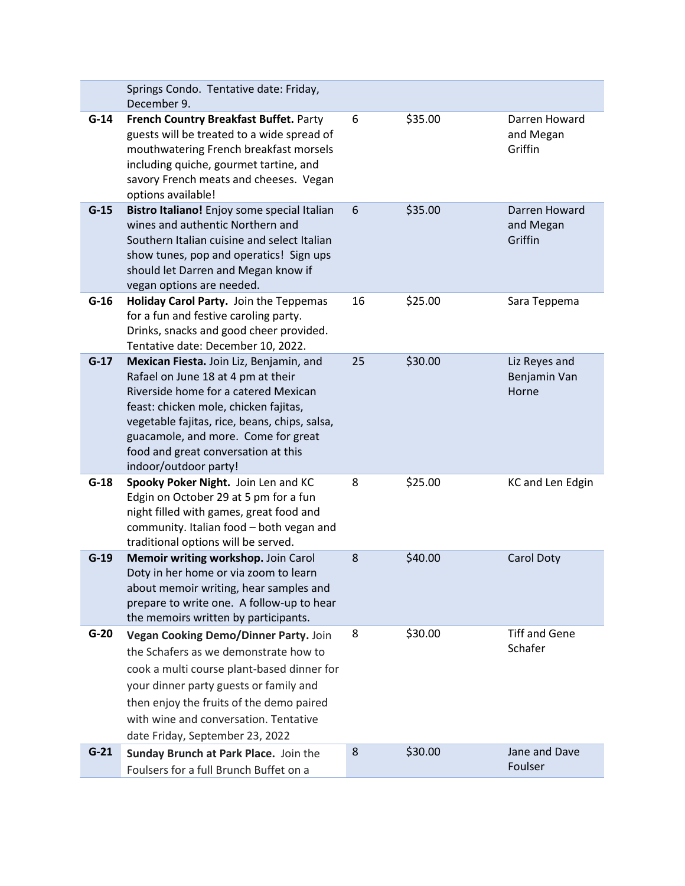|        | Springs Condo. Tentative date: Friday,<br>December 9.                                                                                                                                                                                                                                                                  |    |         |                                        |
|--------|------------------------------------------------------------------------------------------------------------------------------------------------------------------------------------------------------------------------------------------------------------------------------------------------------------------------|----|---------|----------------------------------------|
| $G-14$ | French Country Breakfast Buffet. Party<br>guests will be treated to a wide spread of<br>mouthwatering French breakfast morsels<br>including quiche, gourmet tartine, and<br>savory French meats and cheeses. Vegan<br>options available!                                                                               | 6  | \$35.00 | Darren Howard<br>and Megan<br>Griffin  |
| $G-15$ | Bistro Italiano! Enjoy some special Italian<br>wines and authentic Northern and<br>Southern Italian cuisine and select Italian<br>show tunes, pop and operatics! Sign ups<br>should let Darren and Megan know if<br>vegan options are needed.                                                                          | 6  | \$35.00 | Darren Howard<br>and Megan<br>Griffin  |
| $G-16$ | Holiday Carol Party. Join the Teppemas<br>for a fun and festive caroling party.<br>Drinks, snacks and good cheer provided.<br>Tentative date: December 10, 2022.                                                                                                                                                       | 16 | \$25.00 | Sara Teppema                           |
| $G-17$ | Mexican Fiesta. Join Liz, Benjamin, and<br>Rafael on June 18 at 4 pm at their<br>Riverside home for a catered Mexican<br>feast: chicken mole, chicken fajitas,<br>vegetable fajitas, rice, beans, chips, salsa,<br>guacamole, and more. Come for great<br>food and great conversation at this<br>indoor/outdoor party! | 25 | \$30.00 | Liz Reyes and<br>Benjamin Van<br>Horne |
| $G-18$ | Spooky Poker Night. Join Len and KC<br>Edgin on October 29 at 5 pm for a fun<br>night filled with games, great food and<br>community. Italian food - both vegan and<br>traditional options will be served.                                                                                                             | 8  | \$25.00 | KC and Len Edgin                       |
| $G-19$ | Memoir writing workshop. Join Carol<br>Doty in her home or via zoom to learn<br>about memoir writing, hear samples and<br>prepare to write one. A follow-up to hear<br>the memoirs written by participants.                                                                                                            | 8  | \$40.00 | <b>Carol Doty</b>                      |
| $G-20$ | Vegan Cooking Demo/Dinner Party. Join<br>the Schafers as we demonstrate how to<br>cook a multi course plant-based dinner for<br>your dinner party guests or family and<br>then enjoy the fruits of the demo paired<br>with wine and conversation. Tentative<br>date Friday, September 23, 2022                         | 8  | \$30.00 | <b>Tiff and Gene</b><br>Schafer        |
| $G-21$ | Sunday Brunch at Park Place. Join the<br>Foulsers for a full Brunch Buffet on a                                                                                                                                                                                                                                        | 8  | \$30.00 | Jane and Dave<br>Foulser               |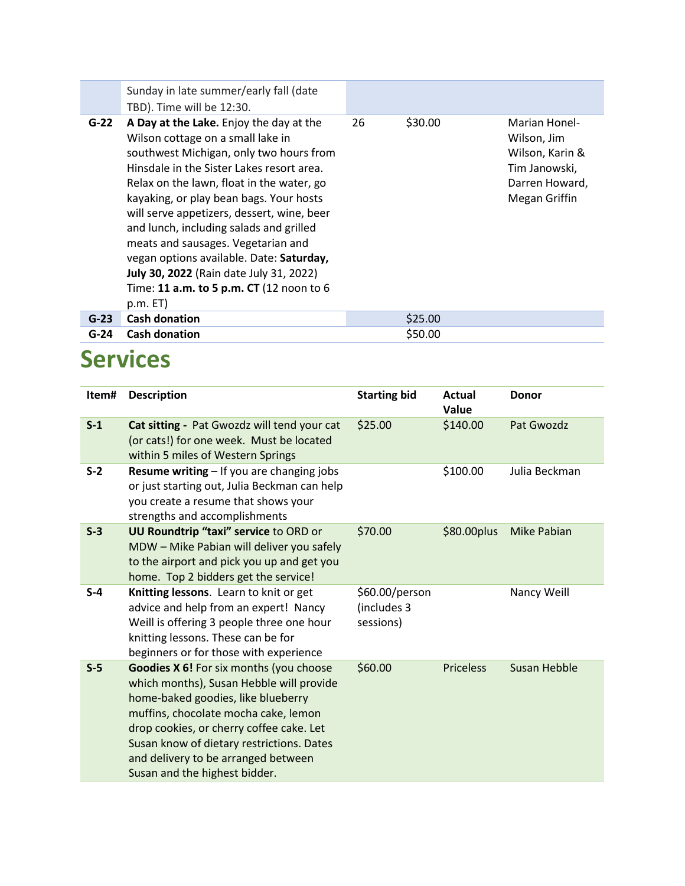|        | Sunday in late summer/early fall (date<br>TBD). Time will be 12:30.                                                                                                                                                                                                                                                                                                                                                                                                                                                                               |    |         |                                                                                                     |
|--------|---------------------------------------------------------------------------------------------------------------------------------------------------------------------------------------------------------------------------------------------------------------------------------------------------------------------------------------------------------------------------------------------------------------------------------------------------------------------------------------------------------------------------------------------------|----|---------|-----------------------------------------------------------------------------------------------------|
| $G-22$ | A Day at the Lake. Enjoy the day at the<br>Wilson cottage on a small lake in<br>southwest Michigan, only two hours from<br>Hinsdale in the Sister Lakes resort area.<br>Relax on the lawn, float in the water, go<br>kayaking, or play bean bags. Your hosts<br>will serve appetizers, dessert, wine, beer<br>and lunch, including salads and grilled<br>meats and sausages. Vegetarian and<br>vegan options available. Date: Saturday,<br><b>July 30, 2022</b> (Rain date July 31, 2022)<br>Time: 11 a.m. to 5 p.m. CT (12 noon to 6<br>p.m. E T | 26 | \$30.00 | Marian Honel-<br>Wilson, Jim<br>Wilson, Karin &<br>Tim Janowski,<br>Darren Howard,<br>Megan Griffin |
| $G-23$ | <b>Cash donation</b>                                                                                                                                                                                                                                                                                                                                                                                                                                                                                                                              |    | \$25.00 |                                                                                                     |
| $G-24$ | <b>Cash donation</b>                                                                                                                                                                                                                                                                                                                                                                                                                                                                                                                              |    | \$50.00 |                                                                                                     |

### **Services**

| Item# | <b>Description</b>                                                                                                                                                                                                                                                                                                                 | <b>Starting bid</b>                        | <b>Actual</b><br>Value | <b>Donor</b>        |
|-------|------------------------------------------------------------------------------------------------------------------------------------------------------------------------------------------------------------------------------------------------------------------------------------------------------------------------------------|--------------------------------------------|------------------------|---------------------|
| $S-1$ | Cat sitting - Pat Gwozdz will tend your cat<br>(or cats!) for one week. Must be located<br>within 5 miles of Western Springs                                                                                                                                                                                                       | \$25.00                                    | \$140.00               | Pat Gwozdz          |
| $S-2$ | <b>Resume writing - If you are changing jobs</b><br>or just starting out, Julia Beckman can help<br>you create a resume that shows your<br>strengths and accomplishments                                                                                                                                                           |                                            | \$100.00               | Julia Beckman       |
| $S-3$ | <b>UU Roundtrip "taxi" service to ORD or</b><br>MDW - Mike Pabian will deliver you safely<br>to the airport and pick you up and get you<br>home. Top 2 bidders get the service!                                                                                                                                                    | \$70.00                                    | \$80.00plus            | <b>Mike Pabian</b>  |
| $S-4$ | Knitting lessons. Learn to knit or get<br>advice and help from an expert! Nancy<br>Weill is offering 3 people three one hour<br>knitting lessons. These can be for<br>beginners or for those with experience                                                                                                                       | \$60.00/person<br>(includes 3<br>sessions) |                        | Nancy Weill         |
| $S-5$ | Goodies X 6! For six months (you choose<br>which months), Susan Hebble will provide<br>home-baked goodies, like blueberry<br>muffins, chocolate mocha cake, lemon<br>drop cookies, or cherry coffee cake. Let<br>Susan know of dietary restrictions. Dates<br>and delivery to be arranged between<br>Susan and the highest bidder. | \$60.00                                    | <b>Priceless</b>       | <b>Susan Hebble</b> |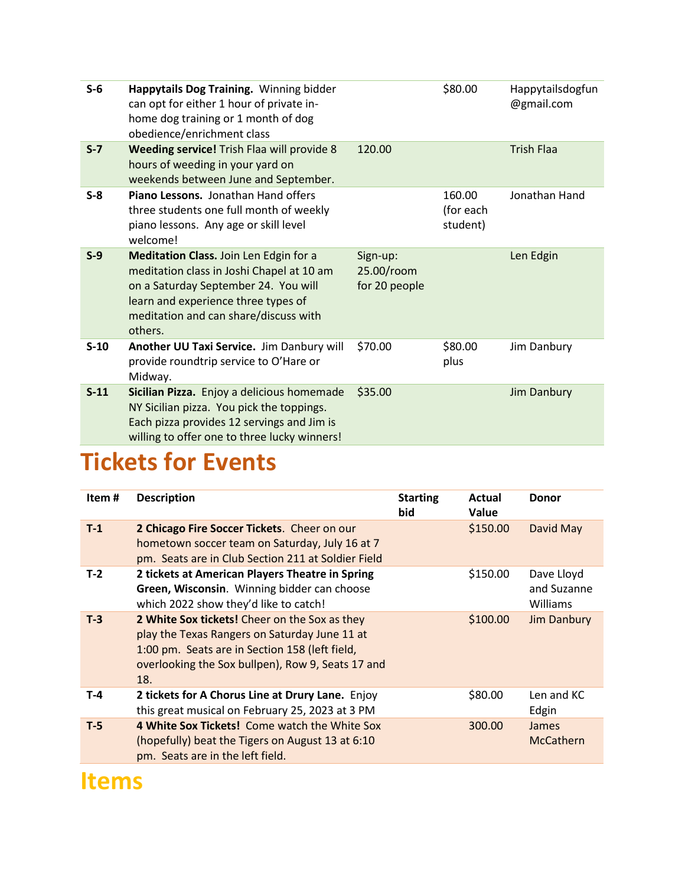| $S-6$   | Happytails Dog Training. Winning bidder<br>can opt for either 1 hour of private in-<br>home dog training or 1 month of dog<br>obedience/enrichment class                                                               |                                         | \$80.00                         | Happytailsdogfun<br>@gmail.com |
|---------|------------------------------------------------------------------------------------------------------------------------------------------------------------------------------------------------------------------------|-----------------------------------------|---------------------------------|--------------------------------|
| $S - 7$ | Weeding service! Trish Flaa will provide 8<br>hours of weeding in your yard on<br>weekends between June and September.                                                                                                 | 120.00                                  |                                 | <b>Trish Flaa</b>              |
| $S-8$   | Piano Lessons. Jonathan Hand offers<br>three students one full month of weekly<br>piano lessons. Any age or skill level<br>welcome!                                                                                    |                                         | 160.00<br>(for each<br>student) | Jonathan Hand                  |
| $S-9$   | Meditation Class. Join Len Edgin for a<br>meditation class in Joshi Chapel at 10 am<br>on a Saturday September 24. You will<br>learn and experience three types of<br>meditation and can share/discuss with<br>others. | Sign-up:<br>25.00/room<br>for 20 people |                                 | Len Edgin                      |
| $S-10$  | Another UU Taxi Service. Jim Danbury will<br>provide roundtrip service to O'Hare or<br>Midway.                                                                                                                         | \$70.00                                 | \$80.00<br>plus                 | Jim Danbury                    |
| $S-11$  | Sicilian Pizza. Enjoy a delicious homemade<br>NY Sicilian pizza. You pick the toppings.<br>Each pizza provides 12 servings and Jim is<br>willing to offer one to three lucky winners!                                  | \$35.00                                 |                                 | <b>Jim Danbury</b>             |

### **Tickets for Events**

| Item# | <b>Description</b>                                                                                                                                                                                           | <b>Starting</b><br>bid | Actual<br>Value | <b>Donor</b>                          |
|-------|--------------------------------------------------------------------------------------------------------------------------------------------------------------------------------------------------------------|------------------------|-----------------|---------------------------------------|
| $T-1$ | 2 Chicago Fire Soccer Tickets. Cheer on our<br>hometown soccer team on Saturday, July 16 at 7<br>pm. Seats are in Club Section 211 at Soldier Field                                                          |                        | \$150.00        | David May                             |
| $T-2$ | 2 tickets at American Players Theatre in Spring<br>Green, Wisconsin. Winning bidder can choose<br>which 2022 show they'd like to catch!                                                                      |                        | \$150.00        | Dave Lloyd<br>and Suzanne<br>Williams |
| $T-3$ | 2 White Sox tickets! Cheer on the Sox as they<br>play the Texas Rangers on Saturday June 11 at<br>1:00 pm. Seats are in Section 158 (left field,<br>overlooking the Sox bullpen), Row 9, Seats 17 and<br>18. |                        | \$100.00        | <b>Jim Danbury</b>                    |
| $T-4$ | 2 tickets for A Chorus Line at Drury Lane. Enjoy<br>this great musical on February 25, 2023 at 3 PM                                                                                                          |                        | \$80.00         | Len and KC<br>Edgin                   |
| $T-5$ | 4 White Sox Tickets! Come watch the White Sox<br>(hopefully) beat the Tigers on August 13 at 6:10<br>pm. Seats are in the left field.                                                                        |                        | 300.00          | <b>James</b><br><b>McCathern</b>      |

#### **Items**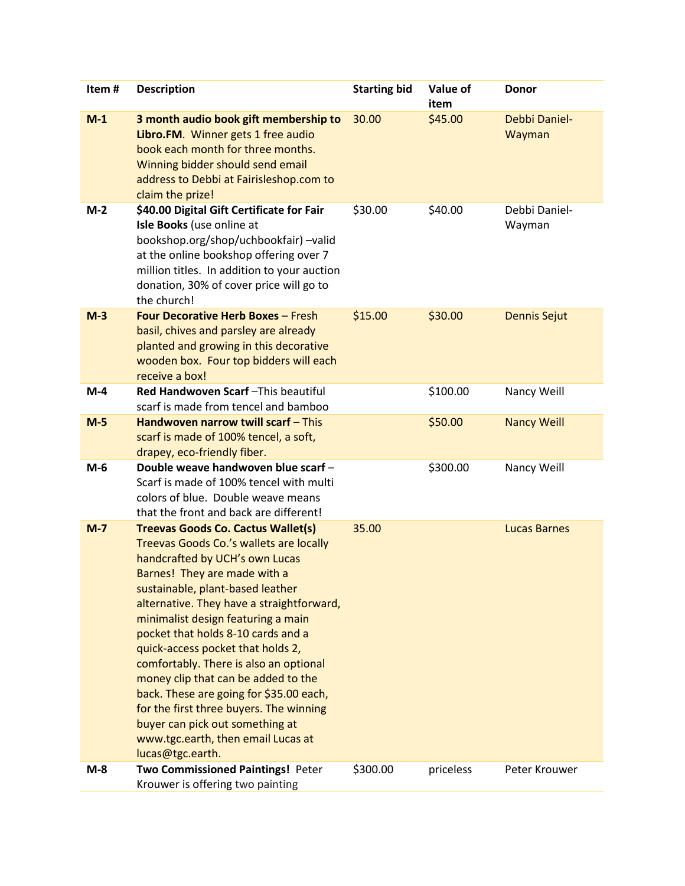| Item#   | <b>Description</b>                                                                                                                                                                                                                                                                                                                                                                                                                                                                                                                                                                                                           | <b>Starting bid</b> | Value of<br>item | <b>Donor</b>            |
|---------|------------------------------------------------------------------------------------------------------------------------------------------------------------------------------------------------------------------------------------------------------------------------------------------------------------------------------------------------------------------------------------------------------------------------------------------------------------------------------------------------------------------------------------------------------------------------------------------------------------------------------|---------------------|------------------|-------------------------|
| $M-1$   | 3 month audio book gift membership to<br>Libro.FM. Winner gets 1 free audio<br>book each month for three months.<br>Winning bidder should send email<br>address to Debbi at Fairisleshop.com to<br>claim the prize!                                                                                                                                                                                                                                                                                                                                                                                                          | 30.00               | \$45.00          | Debbi Daniel-<br>Wayman |
| $M-2$   | \$40.00 Digital Gift Certificate for Fair<br>Isle Books (use online at<br>bookshop.org/shop/uchbookfair) -valid<br>at the online bookshop offering over 7<br>million titles. In addition to your auction<br>donation, 30% of cover price will go to<br>the church!                                                                                                                                                                                                                                                                                                                                                           | \$30.00             | \$40.00          | Debbi Daniel-<br>Wayman |
| $M-3$   | <b>Four Decorative Herb Boxes - Fresh</b><br>basil, chives and parsley are already<br>planted and growing in this decorative<br>wooden box. Four top bidders will each<br>receive a box!                                                                                                                                                                                                                                                                                                                                                                                                                                     | \$15.00             | \$30.00          | <b>Dennis Sejut</b>     |
| $M-4$   | Red Handwoven Scarf-This beautiful<br>scarf is made from tencel and bamboo                                                                                                                                                                                                                                                                                                                                                                                                                                                                                                                                                   |                     | \$100.00         | Nancy Weill             |
| $M-5$   | Handwoven narrow twill scarf - This<br>scarf is made of 100% tencel, a soft,<br>drapey, eco-friendly fiber.                                                                                                                                                                                                                                                                                                                                                                                                                                                                                                                  |                     | \$50.00          | <b>Nancy Weill</b>      |
| $M-6$   | Double weave handwoven blue scarf -<br>Scarf is made of 100% tencel with multi<br>colors of blue. Double weave means<br>that the front and back are different!                                                                                                                                                                                                                                                                                                                                                                                                                                                               |                     | \$300.00         | Nancy Weill             |
| $M - 7$ | <b>Treevas Goods Co. Cactus Wallet(s)</b><br>Treevas Goods Co.'s wallets are locally<br>handcrafted by UCH's own Lucas<br>Barnes! They are made with a<br>sustainable, plant-based leather<br>alternative. They have a straightforward,<br>minimalist design featuring a main<br>pocket that holds 8-10 cards and a<br>quick-access pocket that holds 2,<br>comfortably. There is also an optional<br>money clip that can be added to the<br>back. These are going for \$35.00 each,<br>for the first three buyers. The winning<br>buyer can pick out something at<br>www.tgc.earth, then email Lucas at<br>lucas@tgc.earth. | 35.00               |                  | <b>Lucas Barnes</b>     |
| $M-8$   | <b>Two Commissioned Paintings! Peter</b><br>Krouwer is offering two painting                                                                                                                                                                                                                                                                                                                                                                                                                                                                                                                                                 | \$300.00            | priceless        | Peter Krouwer           |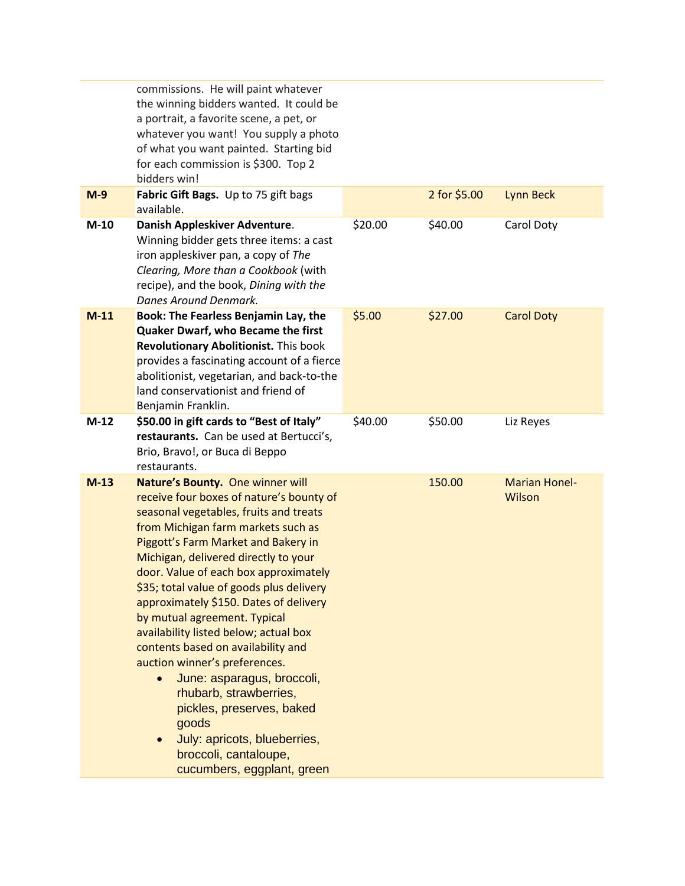|        | commissions. He will paint whatever<br>the winning bidders wanted. It could be<br>a portrait, a favorite scene, a pet, or<br>whatever you want! You supply a photo<br>of what you want painted. Starting bid<br>for each commission is \$300. Top 2<br>bidders win!                                                                                                                                                                                                                                                                                                                                                                                                                                                          |         |              |                                |
|--------|------------------------------------------------------------------------------------------------------------------------------------------------------------------------------------------------------------------------------------------------------------------------------------------------------------------------------------------------------------------------------------------------------------------------------------------------------------------------------------------------------------------------------------------------------------------------------------------------------------------------------------------------------------------------------------------------------------------------------|---------|--------------|--------------------------------|
| $M-9$  | Fabric Gift Bags. Up to 75 gift bags<br>available.                                                                                                                                                                                                                                                                                                                                                                                                                                                                                                                                                                                                                                                                           |         | 2 for \$5.00 | <b>Lynn Beck</b>               |
| $M-10$ | Danish Appleskiver Adventure.<br>Winning bidder gets three items: a cast<br>iron appleskiver pan, a copy of The<br>Clearing, More than a Cookbook (with<br>recipe), and the book, Dining with the<br>Danes Around Denmark.                                                                                                                                                                                                                                                                                                                                                                                                                                                                                                   | \$20.00 | \$40.00      | Carol Doty                     |
| $M-11$ | Book: The Fearless Benjamin Lay, the<br>Quaker Dwarf, who Became the first<br>Revolutionary Abolitionist. This book<br>provides a fascinating account of a fierce<br>abolitionist, vegetarian, and back-to-the<br>land conservationist and friend of<br>Benjamin Franklin.                                                                                                                                                                                                                                                                                                                                                                                                                                                   | \$5.00  | \$27.00      | <b>Carol Doty</b>              |
| $M-12$ | \$50.00 in gift cards to "Best of Italy"<br>restaurants. Can be used at Bertucci's,<br>Brio, Bravo!, or Buca di Beppo<br>restaurants.                                                                                                                                                                                                                                                                                                                                                                                                                                                                                                                                                                                        | \$40.00 | \$50.00      | Liz Reyes                      |
| $M-13$ | Nature's Bounty. One winner will<br>receive four boxes of nature's bounty of<br>seasonal vegetables, fruits and treats<br>from Michigan farm markets such as<br>Piggott's Farm Market and Bakery in<br>Michigan, delivered directly to your<br>door. Value of each box approximately<br>\$35; total value of goods plus delivery<br>approximately \$150. Dates of delivery<br>by mutual agreement. Typical<br>availability listed below; actual box<br>contents based on availability and<br>auction winner's preferences.<br>June: asparagus, broccoli,<br>$\bullet$<br>rhubarb, strawberries,<br>pickles, preserves, baked<br>goods<br>July: apricots, blueberries,<br>broccoli, cantaloupe,<br>cucumbers, eggplant, green |         | 150.00       | <b>Marian Honel-</b><br>Wilson |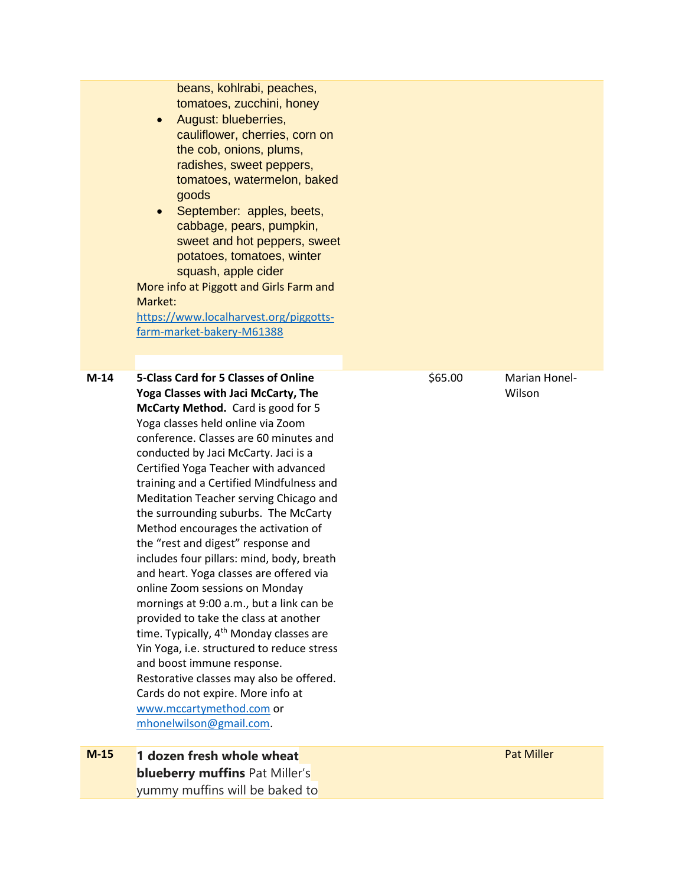beans, kohlrabi, peaches, tomatoes, zucchini, honey

- August: blueberries, cauliflower, cherries, corn on the cob, onions, plums, radishes, sweet peppers, tomatoes, watermelon, baked goods
- September: apples, beets, cabbage, pears, pumpkin, sweet and hot peppers, sweet potatoes, tomatoes, winter squash, apple cider

More info at Piggott and Girls Farm and Market:

[https://www.localharvest.org/piggotts](https://www.localharvest.org/piggotts-farm-market-bakery-M61388)[farm-market-bakery-M61388](https://www.localharvest.org/piggotts-farm-market-bakery-M61388)

**M-14 5-Class Card for 5 Classes of Online Yoga Classes with Jaci McCarty, The McCarty Method.** Card is good for 5 Yoga classes held online via Zoom conference. Classes are 60 minutes and conducted by Jaci McCarty. Jaci is a Certified Yoga Teacher with advanced training and a Certified Mindfulness and Meditation Teacher serving Chicago and the surrounding suburbs. The McCarty Method encourages the activation of the "rest and digest" response and includes four pillars: mind, body, breath and heart. Yoga classes are offered via online Zoom sessions on Monday mornings at 9:00 a.m., but a link can be provided to take the class at another time. Typically,  $4<sup>th</sup>$  Monday classes are Yin Yoga, i.e. structured to reduce stress and boost immune response. Restorative classes may also be offered. Cards do not expire. More info at [www.mccartymethod.com](http://www.mccartymethod.com/) or [mhonelwilson@gmail.com.](mailto:mhonelwilson@gmail.com)

**M-15 1 dozen fresh whole wheat blueberry muffins** Pat Miller's yummy muffins will be baked to

\$65.00 Marian Honel-Wilson

Pat Miller